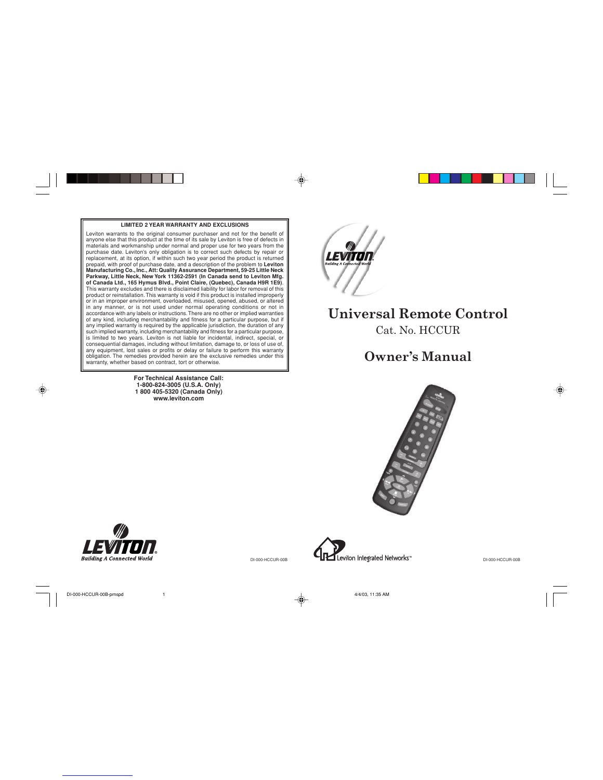#### **LIMITED 2 YEAR WARRANTY AND EXCLUSIONS**

Leviton warrants to the original consumer purchaser and not for the benefit of anyone else that this product at the time of its sale by Leviton is free of defects in materials and workmanship under normal and proper use for two years from the<br>purchase date. Leviton's only obligation is to correct such defects by repair or<br>replacement, at its option, if within such two year period the p is limited to two years. Leviton is not liable for incidental, indirect, special, or consequential damages, including without limitation, damage to, or loss of use of, any equipment, lost sales or profits or delay or failure to perform this warranty<br>obligation. The remedies provided herein are the exclusive remedies under this<br>warranty, whether based on contract, tort or otherwise.

> **For Technical Assistance Call: 1-800-824-3005 (U.S.A. Only) 1 800 405-5320 (Canada Only) www.leviton.com**



◈

# **Universal Remote Control** Cat. No. HCCUR

# **Owner's Manual**





DI-000-HCCUR-00B

Leviton Integrated Networks<sup>\*\*</sup>

DI-000-HCCUR-00B

◈

⊕

DI-000-HCCUR-00B-prnspd 1 4/4/03, 11:35 AM 4/4/03, 11:35 AM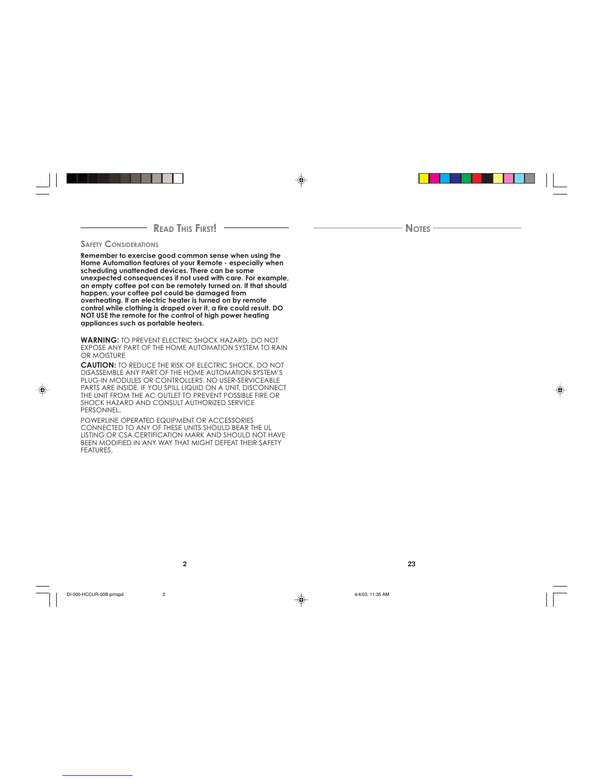### - **READ THIS FIRST!**

#### **SAFETY CONSIDERATIONS**

**Remember to exercise good common sense when using the Home Automation features of your Remote - especially when scheduling unattended devices. There can be some unexpected consequences if not used with care. For example, an empty coffee pot can be remotely turned on. If that should happen, your coffee pot could be damaged from overheating. If an electric heater is turned on by remote control while clothing is draped over it, a fire could result. DO NOT USE the remote for the control of high power heating appliances such as portable heaters.**

**WARNING:** TO PREVENT ELECTRIC SHOCK HAZARD, DO NOT EXPOSE ANY PART OF THE HOME AUTOMATION SYSTEM TO RAIN OR MOISTURE

**CAUTION:** TO REDUCE THE RISK OF ELECTRIC SHOCK, DO NOT<br>DISASSEMBLE ANY PART OF THE HOME AUTOMATION SYSTEM'S<br>PLUG-IN MODULES OR CONTROLLERS. NO USER-SERVICEABLE<br>PARTS ARE INSIDE. IF YOU SPILL LIQUID ON A UNIT, DISCONNECT<br>T PERSONNEL.

POWERLINE OPERATED EQUIPMENT OR ACCESSORIES<br>CONNECTED TO ANY OF THESE UNITS SHOULD BEAR THE UL<br>LISTING OR CSA CERTIFICATION MARK AND SHOULD NOT HAVE<br>BEEN MODIFIED IN ANY WAY THAT MIGHT DEFEAT THEIR SAFETY FEATURES.

⊕

**NOTES**

**2 23**

◈

◈

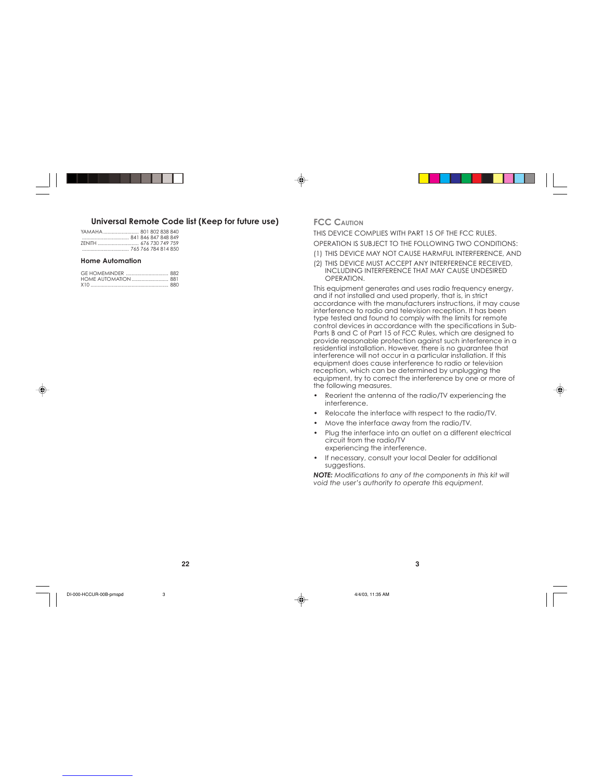



#### **Universal Remote Code list (Keep for future use)**

| YAMAHA 801 802 838 840 |  |  |
|------------------------|--|--|
|                        |  |  |
|                        |  |  |
|                        |  |  |
|                        |  |  |

#### **Home Automation**

#### **FCC CAUTION**

THIS DEVICE COMPLIES WITH PART 15 OF THE FCC RULES. OPERATION IS SUBJECT TO THE FOLLOWING TWO CONDITIONS:

(1) THIS DEVICE MAY NOT CAUSE HARMFUL INTERFERENCE, AND

(2) THIS DEVICE MUST ACCEPT ANY INTERFERENCE RECEIVED, INCLUDING INTERFERENCE THAT MAY CAUSE UNDESIRED OPERATION.

This equipment generates and uses radio frequency energy, and if not installed and used properly, that is, in strict accordance with the manufacturers instructions, it may cause interference to radio and television reception. It has been type tested and found to comply with the limits for remote control devices in accordance with the specifications in Sub-Parts B and C of Part 15 of FCC Rules, which are designed to provide reasonable protection against such interference in a residential installation. However, there is no guarantee that interference will not occur in a particular installation. If this equipment does cause interference to radio or television reception, which can be determined by unplugging the equipment, try to correct the interference by one or more of the following measures.

- Reorient the antenna of the radio/TV experiencing the interference.
- Relocate the interface with respect to the radio/TV.
- Move the interface away from the radio/TV.
- Plug the interface into an outlet on a different electrical circuit from the radio/TV experiencing the interference.
- If necessary, consult your local Dealer for additional suggestions.

*NOTE: Modifications to any of the components in this kit will void the user's authority to operate this equipment.*



DI-000-HCCUR-00B-prnspd 3 4/4/03, 11:35 AM 4/4/03, 11:35 AM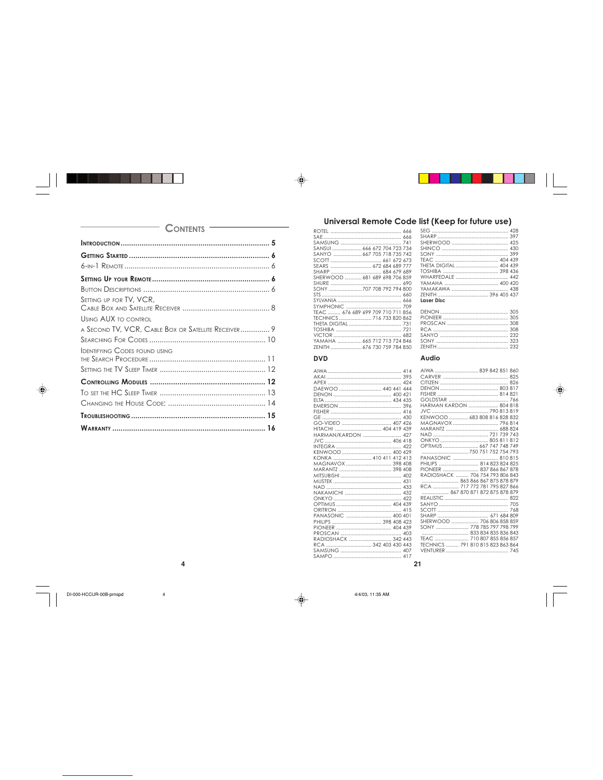◈

430

 $\begin{array}{r} 430 \\ \text{...} \\ 399 \\ 404 \\ 439 \\ 398 \\ 436 \end{array}$ 

 $\frac{375}{400}$  442

.............. 438<br>396 405 437

### **CONTENTS** SETTING UP FOR TV, VCR, **USING AUX TO CONTROL** A SECOND TV, VCR, CABLE BOX OR SATELLITE RECEIVER.............. 9 **IDENTIFYING CODES FOUND USING**

 $\overline{\mathbf{4}}$ 

 $\overline{A}$ 

# Universal Remote Code list (Keep for future use) 428<br>397<br>425

|                                   | SEG            |
|-----------------------------------|----------------|
|                                   | <b>SHARP</b>   |
|                                   | SHERWOOD       |
| SANSUI  666 672 704 723 734       | <b>SHINCO</b>  |
| SANYO  667 705 718 735 742        | <b>SONY</b>    |
|                                   | <b>TEAC</b>    |
|                                   | THETA DIGITAL. |
|                                   | TOSHIBA        |
| SHERWOOD  681 689 698 706 859     | WHARFEDALE.    |
|                                   | YAMAHA         |
|                                   | YAMAKAWA       |
|                                   | <b>ZENITH</b>  |
|                                   | Laser Disc     |
|                                   |                |
| TEAC  676 689 699 709 710 711 856 | <b>DENON</b>   |
| TECHNICS  716 733 820 862         | PIONEER        |
|                                   | PROSCAN        |
|                                   | <b>RCA</b>     |
|                                   | SANYO          |
| YAMAHA  665 712 713 724 846       | <b>SONY</b>    |
| ZENITH  676 730 759 784 850       | ZENITH         |
|                                   |                |

#### **DVD**

| DAEWOO  440 441 444    |  |  |
|------------------------|--|--|
|                        |  |  |
|                        |  |  |
|                        |  |  |
|                        |  |  |
|                        |  |  |
| GO-VIDEO  407 426      |  |  |
| HITACHI  404 419 439   |  |  |
| HARMAN/KARDON  427     |  |  |
|                        |  |  |
|                        |  |  |
| KENWOOD  400 429       |  |  |
| KONKA  410 411 412 413 |  |  |
|                        |  |  |
|                        |  |  |
|                        |  |  |
|                        |  |  |
|                        |  |  |
|                        |  |  |
|                        |  |  |
|                        |  |  |
|                        |  |  |
| PANASONIC  400 401     |  |  |
| PHILIPS  398 408 423   |  |  |
|                        |  |  |
|                        |  |  |
| RADIOSHACK  342 443    |  |  |
| RCA  342 403 430 443   |  |  |
|                        |  |  |
| $\sim$                 |  |  |

| <b>Laser Disc</b>                                                                                                                        |
|------------------------------------------------------------------------------------------------------------------------------------------|
|                                                                                                                                          |
| Audio                                                                                                                                    |
| AIWA  839 842 851 860<br>HARMAN KARDON  804 818<br>KENWOOD  683 808 816 828 832<br>ONKYO  805 811 812<br>OPTIMUS  667 747 748 749        |
|                                                                                                                                          |
| PANASONIC  810 815<br>PHILIPS  814 823 824 825<br>PIONEER  837 866 867 878<br>RADIOSHACK  706 754 793 806 843<br>865 866 867 875 878 879 |
| RCA  717 772 781 795 827 866<br>867 870 871 872 875 878 879                                                                              |
|                                                                                                                                          |
|                                                                                                                                          |
| SHERWOOD  706 806 858 859<br>SONY  778 785 797 798 799                                                                                   |
| TEAC  710 807 855 856 857<br>TECHNICS  791 810 815 823 863 864                                                                           |
|                                                                                                                                          |

#### $21$

DI-000-HCCUR-00B-prnspd

⊕

 $A/M/03$  11:35 AM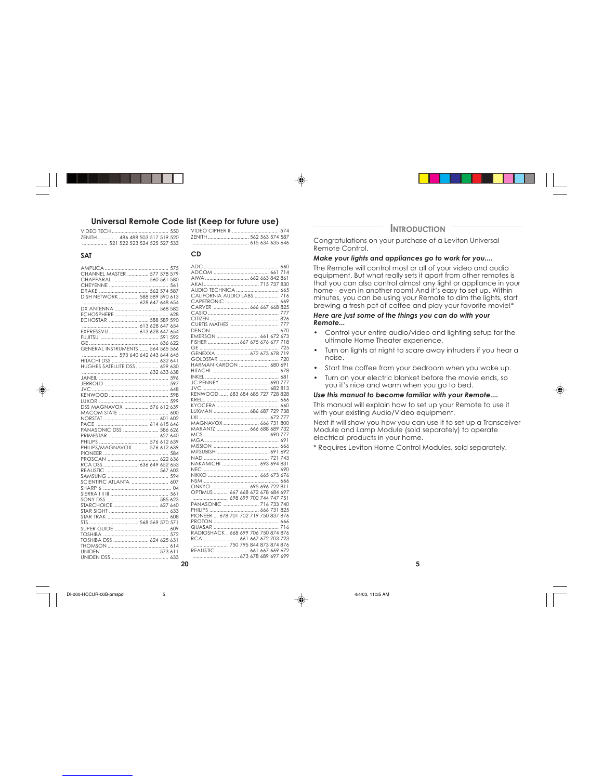# **Universal Remote Code list (Keep for future use)**

VIDEO TECH........................................ 550 ZENITH.............. 486 488 503 517 519 520 ........ 400 400 503 517 517 520<br>. 521 522 523 524 525 527 533

#### **SAT**

⊕

| CHANNEL MASTER  577 578 579      |
|----------------------------------|
| CHAPPARAL  560 561 580           |
|                                  |
| DRAKE  562 574 587               |
| DISH NETWORK  588 589 590 613    |
|                                  |
|                                  |
| DX ANTENNA  568 582              |
|                                  |
| ECHOSTAR  588 589 590            |
|                                  |
| EXPRESSVU  613 628 647 654       |
|                                  |
|                                  |
| GENERAL INSTRUMENTS  564 565 566 |
|                                  |
| HITACHI DSS  632 641             |
| HUGHES SATELLITE DSS  629 630    |
|                                  |
|                                  |
|                                  |
|                                  |
|                                  |
|                                  |
|                                  |
| DSS MAGNAVOX  576 612 639        |
|                                  |
|                                  |
|                                  |
| PANASONIC DSS  586 626           |
| PRIMESTAR  627 640               |
| PHILIPS  576 612 639             |
| PHILIPS/MAGNAVOX  576 612 639    |
|                                  |
|                                  |
| RCA DSS  636 649 652 653         |
|                                  |
|                                  |
| SCIENTIFIC ATLANTA  607          |
|                                  |
|                                  |
|                                  |
|                                  |
| STARCHOICE  627 640              |
|                                  |
|                                  |
|                                  |
|                                  |
|                                  |
| TOSHIBA DSS  624 625 631         |
|                                  |
|                                  |
|                                  |
|                                  |

|    | AIWA  662 663 842 861                |  |
|----|--------------------------------------|--|
|    |                                      |  |
|    | AUDIO TECHNICA  665                  |  |
|    | CALIFORNIA AUDIO LABS  716           |  |
|    |                                      |  |
|    | CARVER  666 667 668 825              |  |
|    |                                      |  |
|    |                                      |  |
|    |                                      |  |
|    |                                      |  |
|    |                                      |  |
|    | EMERSON  661 672 673                 |  |
|    | FISHER  667 675 676 677 718          |  |
|    |                                      |  |
|    | GENEXXA  672 673 678 719             |  |
|    |                                      |  |
|    | HARMAN KARDON  680 691               |  |
|    |                                      |  |
|    |                                      |  |
|    |                                      |  |
|    |                                      |  |
|    |                                      |  |
|    | KENWOOD  683 684 685 727 728 828     |  |
|    |                                      |  |
|    |                                      |  |
|    | LUXMAN  686 687 729 738              |  |
|    |                                      |  |
|    | MAGNAVOX  666 731 800                |  |
|    | MARANTZ  666 688 689 732             |  |
|    |                                      |  |
|    |                                      |  |
|    |                                      |  |
|    |                                      |  |
|    |                                      |  |
|    |                                      |  |
|    | NAKAMICHI  693 694 831               |  |
|    |                                      |  |
|    |                                      |  |
|    |                                      |  |
|    | ONKYO  695 696 722 811               |  |
|    | OPTIMUS  667 668 672 678 684 697     |  |
|    |                                      |  |
|    | PANASONIC  716 733 740               |  |
|    |                                      |  |
|    | PIONEER  678 701 702 719 750 837 876 |  |
|    |                                      |  |
|    |                                      |  |
|    | RADIOSHACK . 668 699 706 750 874 876 |  |
|    |                                      |  |
|    | 750 795 844 873 874 876              |  |
|    |                                      |  |
|    | REALISTIC  661 667 669 672           |  |
|    |                                      |  |
| 20 |                                      |  |

VIDEO CIPHER II ................................. 574 ZENITH............................. 562 563 574 587 ........................................ 615 634 635 646 ◈

### **CD**

⊕

#### **INTRODUCTION**

Congratulations on your purchase of a Leviton Universal Remote Control.

### *Make your lights and appliances go to work for you....*

The Remote will control most or all of your video and audio equipment. But what really sets it apart from other remotes is that you can also control almost any light or appliance in your home - even in another room! And it's easy to set up. Within minutes, you can be using your Remote to dim the lights, start brewing a fresh pot of coffee and play your favorite movie!\*

#### *Here are just some of the things you can do with your Remote...*

- Control your entire audio/video and lighting setup for the ultimate Home Theater experience.
- Turn on lights at night to scare away intruders if you hear a noise.
- Start the coffee from your bedroom when you wake up.
- Turn on your electric blanket before the movie ends, so you it's nice and warm when you go to bed.

#### *Use this manual to become familiar with your Remote....*

This manual will explain how to set up your Remote to use it with your existing Audio/Video equipment.

Next it will show you how you can use it to set up a Transceiver Module and Lamp Module (sold separately) to operate electrical products in your home.

**5**

\* Requires Leviton Home Control Modules, sold separately.

DI-000-HCCUR-00B-pmspd 5 4/4/03, 11:35 AM

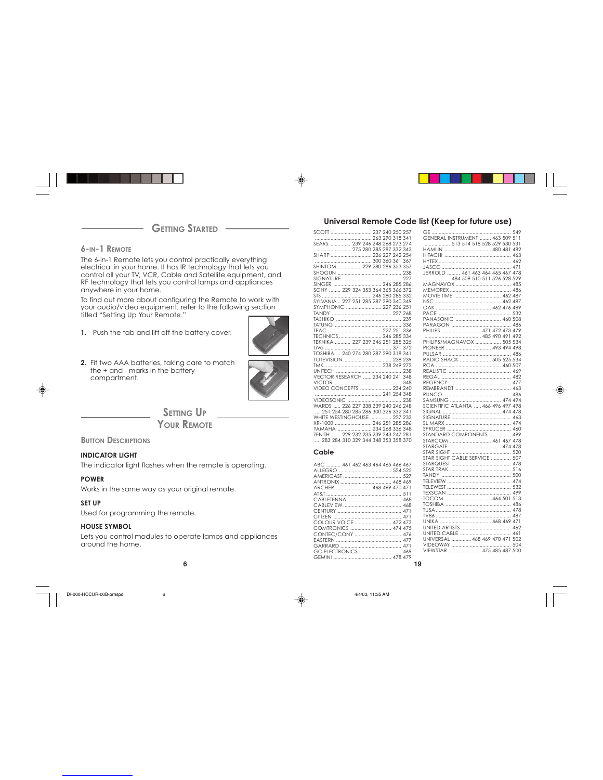**GETTING STARTED** 

**6-IN-1 REMOTE**

The 6-in-1 Remote lets you control practically everything electrical in your home. It has IR technology that lets you control all your TV, VCR, Cable and Satellite equipment, and RF technology that lets you control lamps and appliances anywhere in your home.

To find out more about configuring the Remote to work with your audio/video equipment, refer to the following section titled "Setting Up Your Remote."

- **1.** Push the tab and lift off the battery cover.
- **2.** Fit two AAA batteries, taking care to match the + and marks in the battery compartment.



◈

**SETTING UP** 

**YOUR REMOTE**

**BUTTON DESCRIPTIONS** 

#### **INDICATOR LIGHT**

The indicator light flashes when the remote is operating.

#### **POWER**

♦

Works in the same way as your original remote.

#### **SET UP**

Used for programming the remote.

#### **HOUSE SYMBOL**

Lets you control modules to operate lamps and appliances around the home.

DI-000-HCCUR-00B-prnspd 6 6 6 6 6 6 6 4/4/03, 11:35 AM

### **Universal Remote Code list (Keep for future use)**

| SCOTT  237 240 250 257                  |  |  |
|-----------------------------------------|--|--|
|                                         |  |  |
|                                         |  |  |
|                                         |  |  |
|                                         |  |  |
|                                         |  |  |
|                                         |  |  |
|                                         |  |  |
|                                         |  |  |
|                                         |  |  |
|                                         |  |  |
| SYLVANIA  227 251 285 287 290 340 349   |  |  |
| SYMPHONIC  227 236 251                  |  |  |
|                                         |  |  |
|                                         |  |  |
|                                         |  |  |
|                                         |  |  |
|                                         |  |  |
|                                         |  |  |
|                                         |  |  |
| TOSHIBA  240 274 280 287 290 318 341    |  |  |
|                                         |  |  |
|                                         |  |  |
|                                         |  |  |
| <b>VECTOR RESEARCH  234 240 241 348</b> |  |  |
|                                         |  |  |
| VIDEO CONCEPTS  234 240                 |  |  |
|                                         |  |  |
|                                         |  |  |
|                                         |  |  |
| 251 254 280 285 286 300 326 332 341     |  |  |
| WHITE WESTINGHOUSE  227 233             |  |  |
| XR-1000  246 251 285 286                |  |  |
| YAMAHA  234 268 336 348                 |  |  |
| ZENITH  229 232 235 239 243 247 281     |  |  |
| 283 284 310 329 344 348 353 358 370     |  |  |
| Cable                                   |  |  |
| ABC  461 462 463 464 465 466 467        |  |  |
|                                         |  |  |
|                                         |  |  |
|                                         |  |  |
|                                         |  |  |
|                                         |  |  |
|                                         |  |  |
|                                         |  |  |
|                                         |  |  |
|                                         |  |  |
| COLOUR VOICE  472 473                   |  |  |
| COMTRONICS  474 475                     |  |  |
|                                         |  |  |
|                                         |  |  |
|                                         |  |  |
| GC ELECTRONICS  469                     |  |  |
|                                         |  |  |

|                                                                       | 549 |
|-----------------------------------------------------------------------|-----|
| GENERAL INSTRUMENT  463 509                                           | 511 |
| 513 514 518 528 529 530 531                                           |     |
|                                                                       |     |
| HAMLIN  480 481 482                                                   |     |
|                                                                       |     |
|                                                                       |     |
|                                                                       |     |
|                                                                       |     |
| JERROLD  461 463 464 465 467 478<br>CHERROLD  461 463 464 465 467 478 |     |
|                                                                       |     |
|                                                                       |     |
|                                                                       |     |
|                                                                       |     |
| MOVIE TIME  462 487                                                   |     |
|                                                                       |     |
|                                                                       |     |
|                                                                       |     |
|                                                                       |     |
| PANASONIC  460 508                                                    |     |
|                                                                       |     |
| PHILIPS  471 472 473 479                                              |     |
|                                                                       |     |
|                                                                       |     |
| PHILIPS/MAGNAVOX  505 534                                             |     |
| PIONEER  493 494 498                                                  |     |
|                                                                       |     |
| RADIO SHACK  505 525 534                                              |     |
|                                                                       |     |
|                                                                       |     |
|                                                                       |     |
|                                                                       |     |
|                                                                       |     |
|                                                                       |     |
|                                                                       |     |
|                                                                       |     |
| SAMSUNG  474 494                                                      |     |
| SCIENTIFIC ATLANTA  466 496 497 498                                   |     |
|                                                                       |     |
|                                                                       |     |
|                                                                       |     |
|                                                                       |     |
|                                                                       |     |
|                                                                       |     |
| <b>STANDARD COMPONENTS </b>                                           | 499 |
| STARCOM  461 467                                                      | 478 |
|                                                                       |     |
|                                                                       |     |
|                                                                       |     |
| <b>STAR SIGHT CABLE SERVICE  507</b>                                  |     |
|                                                                       |     |
|                                                                       |     |
|                                                                       |     |
|                                                                       |     |
|                                                                       |     |
|                                                                       |     |
|                                                                       |     |
|                                                                       |     |
| TOCOM  464 501 513                                                    |     |
|                                                                       | 486 |
|                                                                       |     |
|                                                                       |     |
|                                                                       |     |
| UNIKA  468 469 471                                                    |     |
|                                                                       | 462 |
|                                                                       | 461 |
| UNIVERSAL  468 469 470 471 502                                        |     |
|                                                                       |     |
|                                                                       | 504 |
|                                                                       |     |
|                                                                       |     |

**6 19**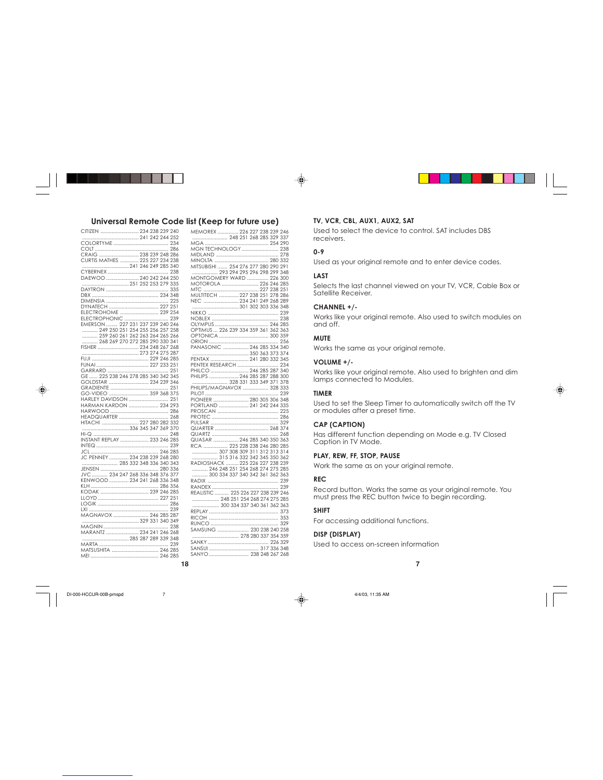#### **Universal Remote Code list (Keep for future use) TV, VCR, CBL, AUX1, AUX2, SAT**

**18**

| CITIZEN  234 238 239 240            |  |     |
|-------------------------------------|--|-----|
|                                     |  |     |
|                                     |  |     |
|                                     |  |     |
| CRAIG  238 239 248 286              |  |     |
|                                     |  |     |
| CURTIS MATHES  225 227 234 238      |  |     |
| 241 246 249 285 340                 |  |     |
|                                     |  | 238 |
| DAEWOO  240 242 244 250             |  |     |
|                                     |  |     |
|                                     |  |     |
|                                     |  |     |
|                                     |  |     |
| DYNATECH  227 251                   |  |     |
| ELECTROHOME  239 254                |  |     |
|                                     |  |     |
|                                     |  |     |
| EMERSON  227 231 237 239 240 246    |  |     |
| 249 250 251 254 255 256 257 258     |  |     |
| 259 260 261 262 263 264 265 266     |  |     |
| 268 269 270 272 285 290 330 341     |  |     |
| FISHER  234 248 267 268             |  |     |
|                                     |  |     |
|                                     |  |     |
|                                     |  |     |
|                                     |  |     |
|                                     |  |     |
| GE  225 238 246 278 285 340 342 345 |  |     |
| GOLDSTAR  234 239 346               |  |     |
|                                     |  | 251 |
| GO-VIDEO  359 368 375               |  |     |
| HARLEY DAVIDSON  251                |  |     |
| HARMAN KARDON  234 293              |  |     |
|                                     |  |     |
|                                     |  |     |
|                                     |  |     |
|                                     |  |     |
|                                     |  |     |
|                                     |  |     |
| INSTANT REPLAY  233 246 285         |  |     |
|                                     |  |     |
|                                     |  |     |
| JC PENNEY  234 238 239 268 280      |  |     |
| 285 332 348 336 340 343             |  |     |
|                                     |  |     |
| JVC  234 247 268 336 348 376 377    |  |     |
|                                     |  |     |
| KENWOOD  234 241 268 336 348        |  |     |
|                                     |  |     |
| KODAK  239 246 285                  |  |     |
|                                     |  |     |
|                                     |  |     |
|                                     |  | 239 |
| MAGNAVOX  246 285 287               |  |     |
|                                     |  |     |
|                                     |  |     |
|                                     |  |     |
|                                     |  |     |
|                                     |  |     |
|                                     |  |     |
| MATSUSHITA  246 285                 |  |     |
|                                     |  |     |

⊕

|                                                                            |  | י טוטוט |  |  |
|----------------------------------------------------------------------------|--|---------|--|--|
|                                                                            |  |         |  |  |
|                                                                            |  |         |  |  |
|                                                                            |  |         |  |  |
|                                                                            |  |         |  |  |
|                                                                            |  |         |  |  |
|                                                                            |  |         |  |  |
|                                                                            |  |         |  |  |
| MITSUBISHI  254 276 277 280 290 291<br>MITSUBISHI  254 276 277 280 290 291 |  |         |  |  |
|                                                                            |  |         |  |  |
| MONTGOMERY WARD  226 300                                                   |  |         |  |  |
| MOTOROLA  226 246 285                                                      |  |         |  |  |
|                                                                            |  |         |  |  |
| MULTITECH  227 238 251 278 286                                             |  |         |  |  |
|                                                                            |  |         |  |  |
|                                                                            |  |         |  |  |
|                                                                            |  |         |  |  |
|                                                                            |  |         |  |  |
|                                                                            |  |         |  |  |
|                                                                            |  |         |  |  |
| OPTIMUS  226 239 334 359 361 362 363                                       |  |         |  |  |
|                                                                            |  |         |  |  |
|                                                                            |  |         |  |  |
| PANASONIC  246 285 334 340                                                 |  |         |  |  |
|                                                                            |  |         |  |  |
|                                                                            |  |         |  |  |
|                                                                            |  |         |  |  |
|                                                                            |  |         |  |  |
| PHILIPS  246 285 287 288 300                                               |  |         |  |  |
|                                                                            |  |         |  |  |
| PHILIPS/MAGNAVOX  328 333                                                  |  |         |  |  |
|                                                                            |  |         |  |  |
|                                                                            |  |         |  |  |
| PIONEER  280 305 306 348                                                   |  |         |  |  |
| PORTLAND  241 242 244 335                                                  |  |         |  |  |
|                                                                            |  |         |  |  |
|                                                                            |  |         |  |  |
|                                                                            |  |         |  |  |
|                                                                            |  |         |  |  |
|                                                                            |  |         |  |  |
|                                                                            |  |         |  |  |
| RCA  225 228 238 246 280 285                                               |  |         |  |  |
|                                                                            |  |         |  |  |
| 315 316 332 342 345 350 362                                                |  |         |  |  |
|                                                                            |  |         |  |  |
| RADIOSHACK  225 226 227 238 239                                            |  |         |  |  |
| 246 248 251 254 268 274 275 285                                            |  |         |  |  |
| 300 334 337 340 342 361 362 363                                            |  |         |  |  |
|                                                                            |  |         |  |  |
|                                                                            |  |         |  |  |
| REALISTIC  225 226 227 238 239 246                                         |  |         |  |  |
| 248 251 254 268 274 275 285                                                |  |         |  |  |
|                                                                            |  |         |  |  |
| 300 334 337 340 361 362 363                                                |  |         |  |  |
|                                                                            |  |         |  |  |
|                                                                            |  |         |  |  |
|                                                                            |  |         |  |  |
| SAMSUNG  230 238 240 258                                                   |  |         |  |  |
|                                                                            |  |         |  |  |
|                                                                            |  |         |  |  |
|                                                                            |  |         |  |  |
|                                                                            |  |         |  |  |
| SANYO  238 248 267 268                                                     |  |         |  |  |

Used to select the device to control. SAT includes DBS receivers.

#### **0-9**

⊕

Used as your original remote and to enter device codes.

#### **LAST**

Selects the last channel viewed on your TV, VCR, Cable Box or Satellite Receiver.

#### **CHANNEL +/-**

Works like your original remote. Also used to switch modules on and off.

#### **MUTE**

Works the same as your original remote.

#### **VOLUME +/-**

Works like your original remote. Also used to brighten and dim lamps connected to Modules.

◈

#### **TIMER**

Used to set the Sleep Timer to automatically switch off the TV or modules after a preset time.

#### **CAP (CAPTION)**

Has different function depending on Mode e.g. TV Closed Caption in TV Mode.

#### **PLAY, REW, FF, STOP, PAUSE**

Work the same as on your original remote.

#### **REC**

Record button. Works the same as your original remote. You must press the REC button twice to begin recording.

#### **SHIFT**

For accessing additional functions.

#### **DISP (DISPLAY)**

Used to access on-screen information

**7**

DI-000-HCCUR-00B-prnspd 7 4/4/03, 11:35 AM

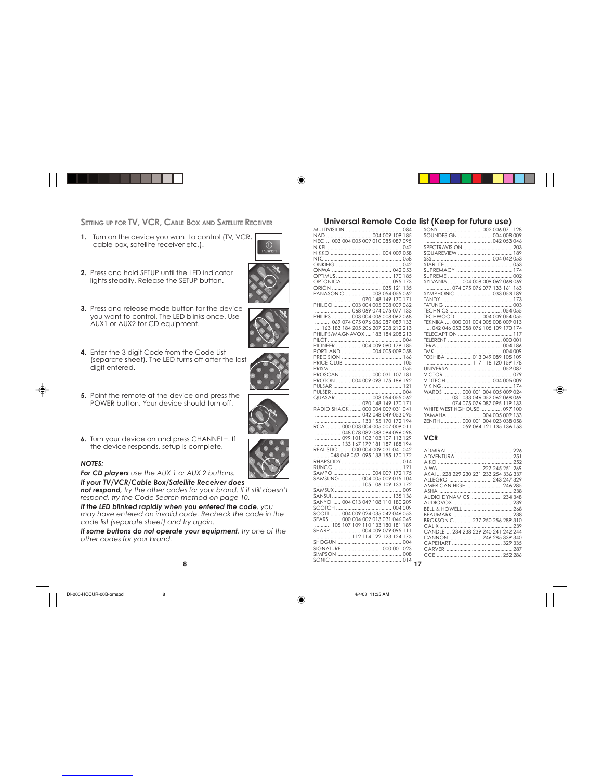**SETTING UP FOR TV, VCR, CABLE BOX AND S**

- **1.** Turn on the device you want to control (TV, VCR, cable box, satellite receiver etc.).
- **2.** Press and hold SETUP until the LED indicator lights steadily. Release the SETUP button.
- **3.** Press and release mode button for the device you want to control. The LED blinks once. Use AUX1 or AUX2 for CD equipment.
	-

€

- **4.** Enter the 3 digit Code from the Code List (separate sheet). The LED turns off after the last digit entered.
- **5.** Point the remote at the device and press the POWER button. Your device should turn off.
- **6.** Turn your device on and press CHANNEL+. If the device responds, setup is complete.

#### *NOTES:*

*For CD players use the AUX 1 or AUX 2 buttons.*

*If your TV/VCR/Cable Box/Satellite Receiver does not respond, try the other codes for your brand. If it still doesn't respond, try the Code Search method on page 10.*

*If the LED blinked rapidly when you entered the code, you may have entered an invalid code. Recheck the code in the code list (separate sheet) and try again.*

*If some buttons do not operate your equipment, try one of the other codes for your brand.*

DI-000-HCCUR-00B-prnspd 8 8  $\bigoplus$  4/4/03, 11:35 AM

## **Universal Remote Code list (Keep for future use)**

| it to control (TV, VCR,                | NAD  004 009 109 185                                    |
|----------------------------------------|---------------------------------------------------------|
| retc.).                                | NEC  003 004 005 009 010 085 089 095                    |
| ⋒<br>POWER                             |                                                         |
|                                        |                                                         |
|                                        |                                                         |
|                                        |                                                         |
| e LED indicator                        |                                                         |
|                                        |                                                         |
| ETUP button.                           |                                                         |
|                                        |                                                         |
|                                        | PANASONIC  003 054 055 062                              |
|                                        |                                                         |
| ton for the device                     | PHILCO  003 004 005 008 009 062                         |
|                                        |                                                         |
| blinks once, Use                       | PHILIPS  003 004 006 008 062 068                        |
| nent.                                  | 069 074 075 076 086 087 089 133                         |
|                                        | 163 183 184 205 206 207 208 212 213                     |
|                                        | PHILIPS/MAGNAVOX  183 184 208 213                       |
|                                        |                                                         |
|                                        | PIONEER  004 009 090 179 185                            |
| the Code List                          | PORTLAND  004 005 009 058                               |
| rns off after the last                 |                                                         |
|                                        |                                                         |
|                                        |                                                         |
|                                        | PROSCAN  000 031 107 181                                |
|                                        | PROTON  004 009 093 175 186 192                         |
|                                        |                                                         |
| ice and press the                      |                                                         |
|                                        | QUASAR  003 054 055 062                                 |
| should turn off.                       |                                                         |
|                                        | RADIO SHACK  000 004 009 031 041                        |
|                                        |                                                         |
|                                        | 133 155 170 172 194<br>RCA  000 003 004 005 007 009 011 |
|                                        | 048 078 082 083 094 096 098                             |
|                                        | 099 101 102 103 107 113 129                             |
| ss CHANNEL+. If                        | 133 167 179 181 187 188 194                             |
| is complete.                           | REALISTIC  000 004 009 031 041 042                      |
|                                        | 048 049 053 095 133 155 170 172                         |
|                                        |                                                         |
|                                        |                                                         |
| r AUX 2 buttons.                       | SAMPO  004 009 172 175                                  |
|                                        | SAMSUNG  004 005 009 015 104                            |
| llite Receiver does                    | 105 106 109 133 172                                     |
| es for your brand. If it still doesn't |                                                         |
| nethod on page 10.                     |                                                         |
|                                        | SANYO  004 013 049 108 110 180 209                      |
| you entered the code, you              |                                                         |
| ode. Recheck the code in the           | SCOTT  004 009 024 035 042 046 053                      |
|                                        | SEARS  000 004 009 013 031 046 049                      |
| try again.                             | 105 107 109 110 133 180 181 189                         |
| your equipment, try one of the         | SHARP  004 009 079 095 111                              |
|                                        | 112 114 122 123 124 173                                 |
|                                        |                                                         |
|                                        | SIGNATURE  000 001 023                                  |
|                                        |                                                         |
|                                        |                                                         |
| 8                                      | 17                                                      |

#### **VCR**

| AIWA  227 245 251 269                |  |
|--------------------------------------|--|
| AKAL 228 229 230 231 233 254 336 337 |  |
| ALLEGRO  243 247 329                 |  |
| AMERICAN HIGH  246 285               |  |
|                                      |  |
| AUDIO DYNAMICS  234 348              |  |
|                                      |  |
|                                      |  |
|                                      |  |
|                                      |  |
| BROKSONIC  237 250 256 289 310       |  |
|                                      |  |
| CANDLE  234 238 239 240 241 242 244  |  |
| CANNON 246 285 339 340               |  |
| CAPFHART  329 335                    |  |
|                                      |  |
|                                      |  |
|                                      |  |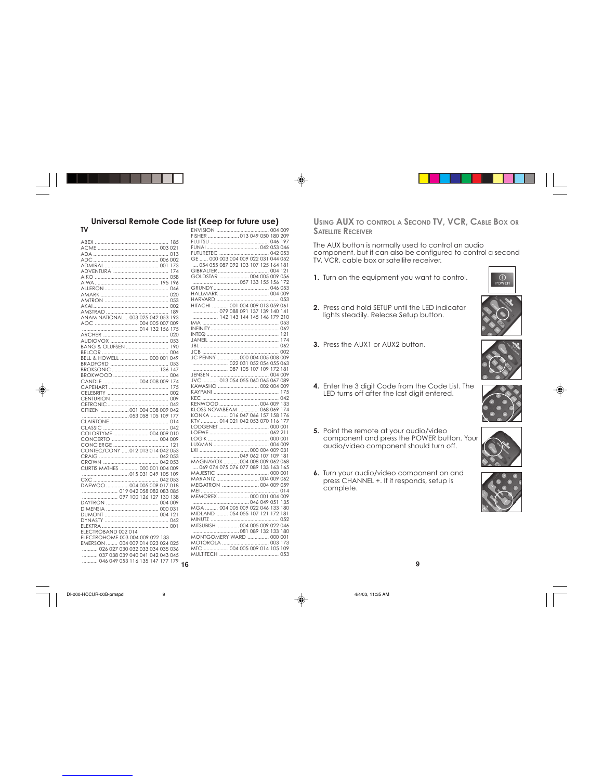### **Universal Remote Code list (Keep for future use)**

| TV                                                                  |  |
|---------------------------------------------------------------------|--|
| 185                                                                 |  |
|                                                                     |  |
|                                                                     |  |
|                                                                     |  |
|                                                                     |  |
| 174                                                                 |  |
|                                                                     |  |
| 196                                                                 |  |
|                                                                     |  |
|                                                                     |  |
|                                                                     |  |
|                                                                     |  |
|                                                                     |  |
| 189                                                                 |  |
| ANAM NATIONAL  003 025 042 053<br>193                               |  |
|                                                                     |  |
| 175                                                                 |  |
|                                                                     |  |
|                                                                     |  |
| BANG & OLUFSEN  190                                                 |  |
|                                                                     |  |
| BELL & HOWELL  000 001 049                                          |  |
| 053                                                                 |  |
| BROKSONIC  136<br>147                                               |  |
|                                                                     |  |
| CANDLE  004 008 009<br>174                                          |  |
| 175                                                                 |  |
|                                                                     |  |
|                                                                     |  |
|                                                                     |  |
| CITIZEN  001 004 008 009 042                                        |  |
| 177                                                                 |  |
|                                                                     |  |
|                                                                     |  |
| COLORTYME  004 009 010                                              |  |
| CONCERTO  004 009                                                   |  |
|                                                                     |  |
| CONTEC/CONY 012 013 014 042 053                                     |  |
|                                                                     |  |
|                                                                     |  |
|                                                                     |  |
| CURTIS MATHES  000 001 004 009                                      |  |
|                                                                     |  |
|                                                                     |  |
| DAEWOO  004 005 009 017 018                                         |  |
|                                                                     |  |
|                                                                     |  |
|                                                                     |  |
|                                                                     |  |
|                                                                     |  |
|                                                                     |  |
|                                                                     |  |
| ELECTROBAND 002 014                                                 |  |
| ELECTROHOME 003 004 009 022 133                                     |  |
|                                                                     |  |
| EMERSON  004 009 014 023 024 025<br>026 027 030 032 033 034 035 036 |  |
| 037 038 039 040 041 042 043 045                                     |  |
| 046 049 053 116 135 147 177 179                                     |  |

⊕

| eeb ioi ininie na                                 |
|---------------------------------------------------|
|                                                   |
|                                                   |
|                                                   |
|                                                   |
|                                                   |
| GE  000 003 004 009 022 031 044 052               |
| 054 055 087 092 103 107 125 164 181               |
|                                                   |
|                                                   |
|                                                   |
|                                                   |
|                                                   |
|                                                   |
|                                                   |
| HITACHI  001 004 009 013 059 061                  |
|                                                   |
|                                                   |
|                                                   |
|                                                   |
|                                                   |
|                                                   |
|                                                   |
|                                                   |
| JC PENNY  000 004 005 008 009                     |
|                                                   |
|                                                   |
|                                                   |
|                                                   |
| KAWASHO  002 004 009                              |
|                                                   |
|                                                   |
|                                                   |
| KENWOOD  004 009 133                              |
| KLOSS NOVABEAM  068 069 174                       |
| KONKA  016 047 066 157 158 176                    |
| KTV  014 021 042 053 070 116 177                  |
|                                                   |
|                                                   |
|                                                   |
|                                                   |
|                                                   |
|                                                   |
| MAGNAVOX 004 008 009 062 068                      |
| 069 074 075 076 077 089 133 163 165               |
|                                                   |
| MARANTZ  004 009 062                              |
| MEGATRON  004 009 059                             |
|                                                   |
| MEMOREX  000 001 004 009                          |
|                                                   |
| MGA  004 005 009 022 046 133 180                  |
| MIDLAND  054 055 107 121 172 181                  |
|                                                   |
| MITSUBISHI  004 005 009 022 046                   |
|                                                   |
|                                                   |
|                                                   |
| MOTOROLA  003 173<br>MTC  004 005 009 014 105 109 |
|                                                   |
|                                                   |
|                                                   |

**USING AUX TO CONTROL A SECOND TV, VCR, CABLE BOX OR S ATELLITE RECEIVER**

The AUX button is normally used to control an audio component, but it can also be configured to control a second TV, VCR, cable box or satellite receiver.

- **1.** Turn on the equipment you want to control.
- **2.** Press and hold SETUP until the LED indicator lights steadily. Release Setup button.

**3.** Press the AUX1 or AUX2 button.

◈





◈

 $^{\circ}$ 

- **4.** Enter the 3 digit Code from the Code List. The LED turns off after the last digit entered.
- **5.** Point the remote at your audio/video component and press the POWER button. Your audio/video component should turn off.



**6.** Turn your audio/video component on and press CHANNEL +. If it responds, setup is complete.





DI-000-HCCUR-00B-prnspd 9 4/4/03, 11:35 AM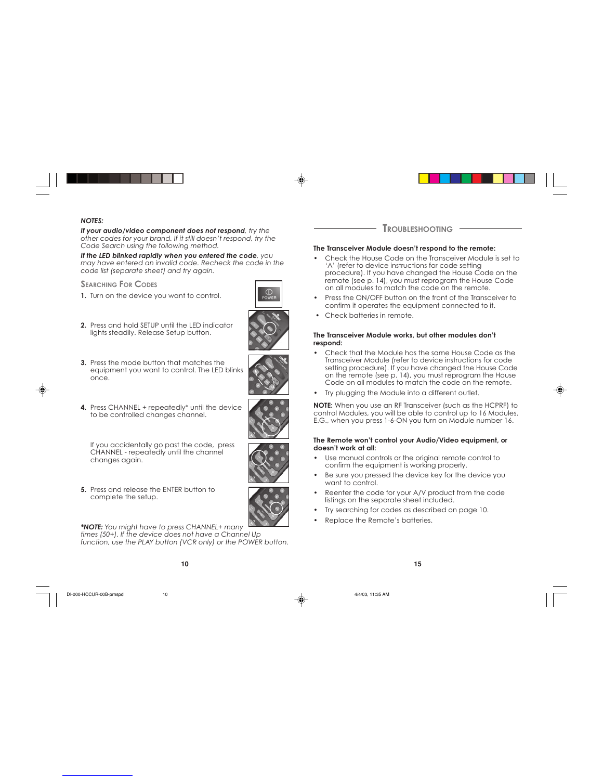

⊕

*If your audio/video component does not respond, try the other codes for your brand. If it still doesn't respond, try the Code Search using the following method.*

*If the LED blinked rapidly when you entered the code, you may have entered an invalid code. Recheck the code in the code list (separate sheet) and try again.*

**SEARCHING FOR CODES**

- **1.** Turn on the device you want to control.
- 

€

**2.** Press and hold SETUP until the LED indicator lights steadily. Release Setup button.



- **3.** Press the mode button that matches the equipment you want to control. The LED blinks once.
- **4.** Press CHANNEL + repeatedly\* until the device to be controlled changes channel.



If you accidentally go past the code, press CHANNEL - repeatedly until the channel changes again.

**5.** Press and release the ENTER button to complete the setup.

*\*NOTE: You might have to press CHANNEL+ many times (50+). If the device does not have a Channel Up function, use the PLAY button (VCR only) or the POWER button.*

DI-000-HCCUR-00B-prnspd 10 4/4/03, 11:35 AM





#### **The Transceiver Module doesn't respond to the remote:**

- Check the House Code on the Transceiver Module is set to 'A' (refer to device instructions for code setting procedure). If you have changed the House Code on the remote (see p. 14), you must reprogram the House Code on all modules to match the code on the remote.
- Press the ON/OFF button on the front of the Transceiver to confirm it operates the equipment connected to it.
- Check batteries in remote.

#### **The Transceiver Module works, but other modules don't respond:**

- Check that the Module has the same House Code as the Transceiver Module (refer to device instructions for code setting procedure). If you have changed the House Code on the remote (see p. 14), you must reprogram the House Code on all modules to match the code on the remote.
- Try plugging the Module into a different outlet.

**NOTE:** When you use an RF Transceiver (such as the HCPRF) to control Modules, you will be able to control up to 16 Modules. E.G., when you press 1-6-ON you turn on Module number 16.

#### **The Remote won't control your Audio/Video equipment, or doesn't work at all:**

- Use manual controls or the original remote control to confirm the equipment is working properly.
- Be sure you pressed the device key for the device you want to control.
- Reenter the code for your A/V product from the code listings on the separate sheet included.
- Try searching for codes as described on page 10.
- Replace the Remote's batteries.

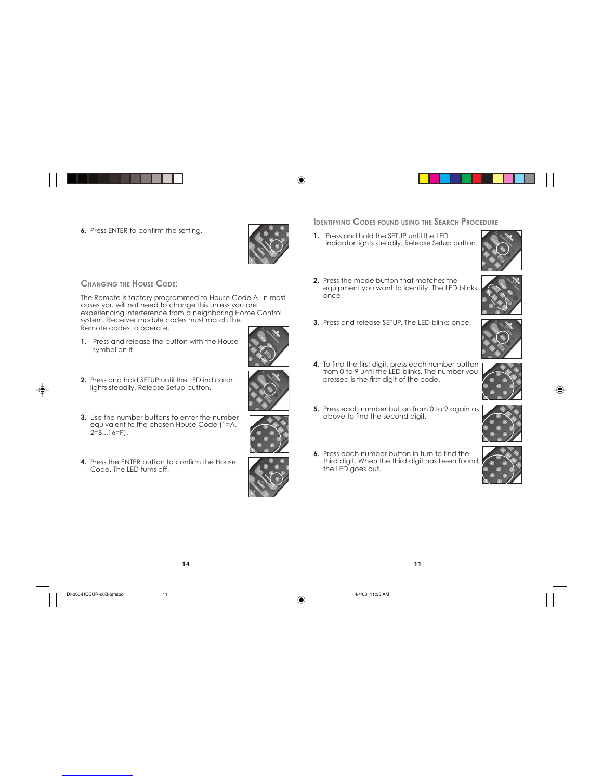**6.** Press ENTER to confirm the setting.

#### **CHANGING THE HOUSE CODE:**

The Remote is factory programmed to House Code A. In most cases you will not need to change this unless you are experiencing interference from a neighboring Home Control system. Receiver module codes must match the Remote codes to operate.

- **1.** Press and release the button with the House symbol on it.
- **2.** Press and hold SETUP until the LED indicator lights steadily. Release Setup button.
- **3.** Use the number buttons to enter the number equivalent to the chosen House Code (1=A, 2=B...16=P).
- **4.** Press the ENTER button to confirm the House Code. The LED turns off.

**14**

DI-000-HCCUR-00B-prnspd 11 1 1 4/4/03, 11:35 AM



**IDENTIFYING CODES FOUND USING THE SEARCH PROCEDURE** 

- **1.** Press and hold the SETUP until the LED indicator lights steadily. Release Setup button.
- **2.** Press the mode button that matches the equipment you want to identify. The LED blinks once.
- **3.** Press and release SETUP. The LED blinks once.
- **4.** To find the first digit, press each number button from 0 to 9 until the LED blinks. The number you pressed is the first digit of the code.
- **5.** Press each number button from 0 to 9 again as above to find the second digit.
- **6.** Press each number button in turn to find the third digit. When the third digit has been found, the LED goes out.

**11**



♠